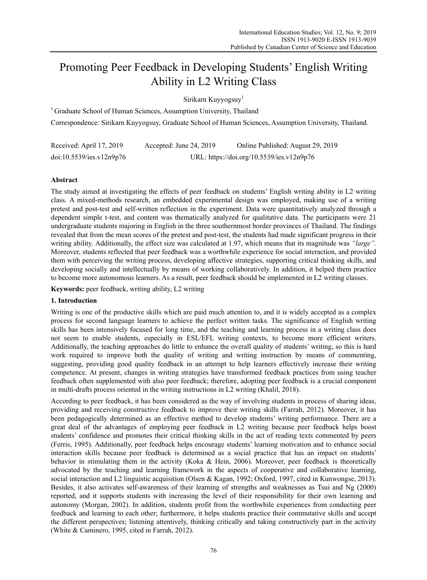# Promoting Peer Feedback in Developing Students' English Writing Ability in L2 Writing Class

Sirikarn Kuyyogsuy<sup>1</sup>

<sup>1</sup> Graduate School of Human Sciences, Assumption University, Thailand Correspondence: Sirikarn Kuyyogsuy, Graduate School of Human Sciences, Assumption University, Thailand.

| Received: April 17, 2019 | Accepted: June 24, $2019$ | Online Published: August 29, 2019         |
|--------------------------|---------------------------|-------------------------------------------|
| doi:10.5539/ies.v12n9p76 |                           | URL: https://doi.org/10.5539/ies.v12n9p76 |

# **Abstract**

The study aimed at investigating the effects of peer feedback on students' English writing ability in L2 writing class. A mixed-methods research, an embedded experimental design was employed, making use of a writing pretest and post-test and self-written reflection in the experiment. Data were quantitatively analyzed through a dependent simple t-test, and content was thematically analyzed for qualitative data. The participants were 21 undergraduate students majoring in English in the three southernmost border provinces of Thailand. The findings revealed that from the mean scores of the pretest and post-test, the students had made significant progress in their writing ability. Additionally, the effect size was calculated at 1.97, which means that its magnitude was *"large".* Moreover, students reflected that peer feedback was a worthwhile experience for social interaction, and provided them with perceiving the writing process, developing affective strategies, supporting critical thinking skills, and developing socially and intellectually by means of working collaboratively. In addition, it helped them practice to become more autonomous learners. As a result, peer feedback should be implemented in L2 writing classes.

**Keywords:** peer feedback, writing ability, L2 writing

# **1. Introduction**

Writing is one of the productive skills which are paid much attention to, and it is widely accepted as a complex process for second language learners to achieve the perfect written tasks. The significance of English writing skills has been intensively focused for long time, and the teaching and learning process in a writing class does not seem to enable students, especially in ESL/EFL writing contexts, to become more efficient writers. Additionally, the teaching approaches do little to enhance the overall quality of students' writing, so this is hard work required to improve both the quality of writing and writing instruction by means of commenting, suggesting, providing good quality feedback in an attempt to help learners effectively increase their writing competence. At present, changes in writing strategies have transformed feedback practices from using teacher feedback often supplemented with also peer feedback; therefore, adopting peer feedback is a crucial component in multi-drafts process oriented in the writing instructions in L2 writing (Khalil, 2018).

According to peer feedback, it has been considered as the way of involving students in process of sharing ideas, providing and receiving constructive feedback to improve their writing skills (Farrah, 2012). Moreover, it has been pedagogically determined as an effective method to develop students' writing performance. There are a great deal of the advantages of employing peer feedback in L2 writing because peer feedback helps boost students' confidence and promotes their critical thinking skills in the act of reading texts commented by peers (Ferris, 1995). Additionally, peer feedback helps encourage students' learning motivation and to enhance social interaction skills because peer feedback is determined as a social practice that has an impact on students' behavior in stimulating them in the activity (Koka & Hein, 2006). Moreover, peer feedback is theoretically advocated by the teaching and learning framework in the aspects of cooperative and collaborative learning, social interaction and L2 linguistic acquisition (Olsen & Kagan, 1992; Oxford, 1997, cited in Kunwongse, 2013). Besides, it also activates self-awareness of their learning of strengths and weaknesses as Tsui and Ng (2000) reported, and it supports students with increasing the level of their responsibility for their own learning and autonomy (Morgan, 2002). In addition, students profit from the worthwhile experiences from conducting peer feedback and learning to each other; furthermore, it helps students practice their commutative skills and accept the different perspectives; listening attentively, thinking critically and taking constructively part in the activity (White & Caminero, 1995, cited in Farrah, 2012).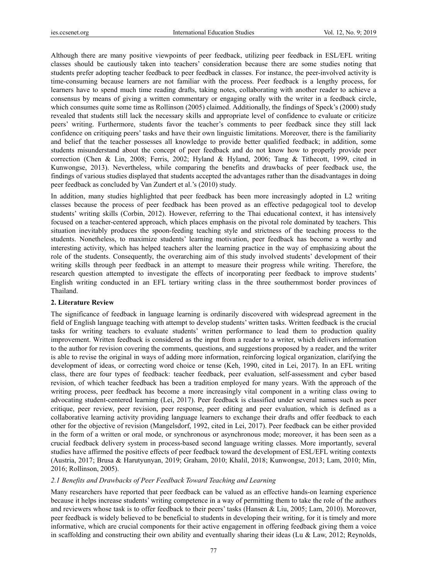Although there are many positive viewpoints of peer feedback, utilizing peer feedback in ESL/EFL writing classes should be cautiously taken into teachers' consideration because there are some studies noting that students prefer adopting teacher feedback to peer feedback in classes. For instance, the peer-involved activity is time-consuming because learners are not familiar with the process. Peer feedback is a lengthy process, for learners have to spend much time reading drafts, taking notes, collaborating with another reader to achieve a consensus by means of giving a written commentary or engaging orally with the writer in a feedback circle, which consumes quite some time as Rollinson (2005) claimed. Additionally, the findings of Speck's (2000) study revealed that students still lack the necessary skills and appropriate level of confidence to evaluate or criticize peers' writing. Furthermore, students favor the teacher's comments to peer feedback since they still lack confidence on critiquing peers' tasks and have their own linguistic limitations. Moreover, there is the familiarity and belief that the teacher possesses all knowledge to provide better qualified feedback; in addition, some students misunderstand about the concept of peer feedback and do not know how to properly provide peer correction (Chen & Lin, 2008; Ferris, 2002; Hyland & Hyland, 2006; Tang & Tithecott, 1999, cited in Kunwongse, 2013). Nevertheless, while comparing the benefits and drawbacks of peer feedback use, the findings of various studies displayed that students accepted the advantages rather than the disadvantages in doing peer feedback as concluded by Van Zundert et al.'s (2010) study.

In addition, many studies highlighted that peer feedback has been more increasingly adopted in L2 writing classes because the process of peer feedback has been proved as an effective pedagogical tool to develop students' writing skills (Corbin, 2012). However, referring to the Thai educational context, it has intensively focused on a teacher-centered approach, which places emphasis on the pivotal role dominated by teachers. This situation inevitably produces the spoon-feeding teaching style and strictness of the teaching process to the students. Nonetheless, to maximize students' learning motivation, peer feedback has become a worthy and interesting activity, which has helped teachers alter the learning practice in the way of emphasizing about the role of the students. Consequently, the overarching aim of this study involved students' development of their writing skills through peer feedback in an attempt to measure their progress while writing. Therefore, the research question attempted to investigate the effects of incorporating peer feedback to improve students' English writing conducted in an EFL tertiary writing class in the three southernmost border provinces of Thailand.

#### **2. Literature Review**

The significance of feedback in language learning is ordinarily discovered with widespread agreement in the field of English language teaching with attempt to develop students' written tasks. Written feedback is the crucial tasks for writing teachers to evaluate students' written performance to lead them to production quality improvement. Written feedback is considered as the input from a reader to a writer, which delivers information to the author for revision covering the comments, questions, and suggestions proposed by a reader, and the writer is able to revise the original in ways of adding more information, reinforcing logical organization, clarifying the development of ideas, or correcting word choice or tense (Keh, 1990, cited in Lei, 2017). In an EFL writing class, there are four types of feedback: teacher feedback, peer evaluation, self-assessment and cyber based revision, of which teacher feedback has been a tradition employed for many years. With the approach of the writing process, peer feedback has become a more increasingly vital component in a writing class owing to advocating student-centered learning (Lei, 2017). Peer feedback is classified under several names such as peer critique, peer review, peer revision, peer response, peer editing and peer evaluation, which is defined as a collaborative learning activity providing language learners to exchange their drafts and offer feedback to each other for the objective of revision (Mangelsdorf, 1992, cited in Lei, 2017). Peer feedback can be either provided in the form of a written or oral mode, or synchronous or asynchronous mode; moreover, it has been seen as a crucial feedback delivery system in process-based second language writing classes. More importantly, several studies have affirmed the positive effects of peer feedback toward the development of ESL/EFL writing contexts (Austria, 2017; Brusa & Harutyunyan, 2019; Graham, 2010; Khalil, 2018; Kunwongse, 2013; Lam, 2010; Min, 2016; Rollinson, 2005).

#### *2.1 Benefits and Drawbacks of Peer Feedback Toward Teaching and Learning*

Many researchers have reported that peer feedback can be valued as an effective hands-on learning experience because it helps increase students' writing competence in a way of permitting them to take the role of the authors and reviewers whose task is to offer feedback to their peers' tasks (Hansen & Liu, 2005; Lam, 2010). Moreover, peer feedback is widely believed to be beneficial to students in developing their writing, for it is timely and more informative, which are crucial components for their active engagement in offering feedback giving them a voice in scaffolding and constructing their own ability and eventually sharing their ideas (Lu & Law, 2012; Reynolds,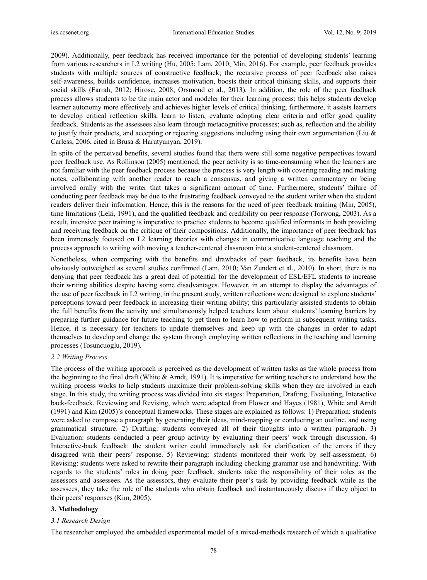2009). Additionally, peer feedback has received importance for the potential of developing students' learning from various researchers in L2 writing (Hu, 2005; Lam, 2010; Min, 2016). For example, peer feedback provides students with multiple sources of constructive feedback; the recursive process of peer feedback also raises self-awareness, builds confidence, increases motivation, boosts their critical thinking skills, and supports their social skills (Farrah, 2012; Hirose, 2008; Orsmond et al., 2013). In addition, the role of the peer feedback process allows students to be the main actor and modeler for their learning process; this helps students develop learner autonomy more effectively and achieves higher levels of critical thinking; furthermore, it assists learners to develop critical reflection skills, learn to listen, evaluate adopting clear criteria and offer good quality feedback. Students as the assessees also learn through metacognitive processes; such as, reflection and the ability to justify their products, and accepting or rejecting suggestions including using their own argumentation (Liu & Carless, 2006, cited in Brusa & Harutyunyan, 2019).

In spite of the perceived benefits, several studies found that there were still some negative perspectives toward peer feedback use. As Rollinson (2005) mentioned, the peer activity is so time-consuming when the learners are not familiar with the peer feedback process because the process is very length with covering reading and making notes, collaborating with another reader to reach a consensus, and giving a written commentary or being involved orally with the writer that takes a significant amount of time. Furthermore, students' failure of conducting peer feedback may be due to the frustrating feedback conveyed to the student writer when the student readers deliver their information. Hence, this is the reasons for the need of peer feedback training (Min, 2005), time limitations (Leki, 1991), and the qualified feedback and credibility on peer response (Torwong, 2003). As a result, intensive peer training is imperative to practice students to become qualified informants in both providing and receiving feedback on the critique of their compositions. Additionally, the importance of peer feedback has been immensely focused on L2 learning theories with changes in communicative language teaching and the process approach to writing with moving a teacher-centered classroom into a student-centered classroom.

Nonetheless, when comparing with the benefits and drawbacks of peer feedback, its benefits have been obviously outweighed as several studies confirmed (Lam, 2010; Van Zundert et al., 2010). In short, there is no denying that peer feedback has a great deal of potential for the development of ESL/EFL students to increase their writing abilities despite having some disadvantages. However, in an attempt to display the advantages of the use of peer feedback in L2 writing, in the present study, written reflections were designed to explore students' perceptions toward peer feedback in increasing their writing ability; this particularly assisted students to obtain the full benefits from the activity and simultaneously helped teachers learn about students' learning barriers by preparing further guidance for future teaching to get them to learn how to perform in subsequent writing tasks. Hence, it is necessary for teachers to update themselves and keep up with the changes in order to adapt themselves to develop and change the system through employing written reflections in the teaching and learning processes (Tosuncuoglu, 2019).

#### *2.2 Writing Process*

The process of the writing approach is perceived as the development of written tasks as the whole process from the beginning to the final draft (White  $\&$  Arndt, 1991). It is imperative for writing teachers to understand how the writing process works to help students maximize their problem-solving skills when they are involved in each stage. In this study, the writing process was divided into six stages: Preparation, Drafting, Evaluating, Interactive back-feedback, Reviewing and Revising, which were adapted from Flower and Hayes (1981), White and Arndt (1991) and Kim (2005)'s conceptual frameworks. These stages are explained as follows: 1) Preparation: students were asked to compose a paragraph by generating their ideas, mind-mapping or conducting an outline, and using grammatical structure. 2) Drafting: students conveyed all of their thoughts into a written paragraph. 3) Evaluation: students conducted a peer group activity by evaluating their peers' work through discussion. 4) Interactive-back feedback: the student writer could immediately ask for clarification of the errors if they disagreed with their peers' response. 5) Reviewing: students monitored their work by self-assessment. 6) Revising: students were asked to rewrite their paragraph including checking grammar use and handwriting. With regards to the students' roles in doing peer feedback, students take the responsibility of their roles as the assessors and assessees. As the assessors, they evaluate their peer's task by providing feedback while as the assessees, they take the role of the students who obtain feedback and instantaneously discuss if they object to their peers' responses (Kim, 2005).

## **3. Methodology**

## *3.1 Research Design*

The researcher employed the embedded experimental model of a mixed-methods research of which a qualitative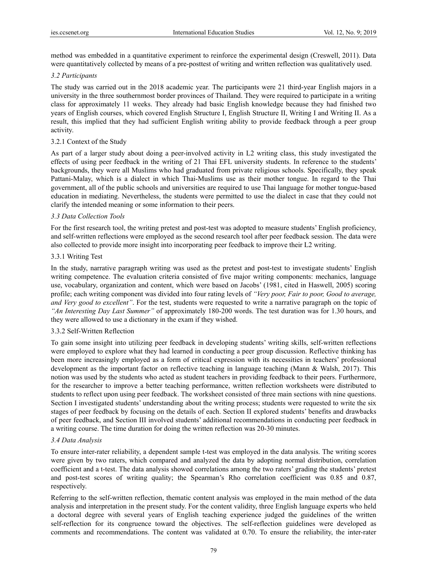method was embedded in a quantitative experiment to reinforce the experimental design (Creswell, 2011). Data were quantitatively collected by means of a pre-posttest of writing and written reflection was qualitatively used.

#### *3.2 Participants*

The study was carried out in the 2018 academic year. The participants were 21 third-year English majors in a university in the three southernmost border provinces of Thailand. They were required to participate in a writing class for approximately 11 weeks. They already had basic English knowledge because they had finished two years of English courses, which covered English Structure I, English Structure II, Writing I and Writing II. As a result, this implied that they had sufficient English writing ability to provide feedback through a peer group activity.

### 3.2.1 Context of the Study

As part of a larger study about doing a peer-involved activity in L2 writing class, this study investigated the effects of using peer feedback in the writing of 21 Thai EFL university students. In reference to the students' backgrounds, they were all Muslims who had graduated from private religious schools. Specifically, they speak Pattani-Malay, which is a dialect in which Thai-Muslims use as their mother tongue. In regard to the Thai government, all of the public schools and universities are required to use Thai language for mother tongue-based education in mediating. Nevertheless, the students were permitted to use the dialect in case that they could not clarify the intended meaning or some information to their peers.

#### *3.3 Data Collection Tools*

For the first research tool, the writing pretest and post-test was adopted to measure students' English proficiency, and self-written reflections were employed as the second research tool after peer feedback session. The data were also collected to provide more insight into incorporating peer feedback to improve their L2 writing.

## 3.3.1 Writing Test

In the study, narrative paragraph writing was used as the pretest and post-test to investigate students' English writing competence. The evaluation criteria consisted of five major writing components: mechanics, language use, vocabulary, organization and content, which were based on Jacobs' (1981, cited in Haswell, 2005) scoring profile; each writing component was divided into four rating levels of *"Very poor, Fair to poor, Good to average, and Very good to excellent"*. For the test, students were requested to write a narrative paragraph on the topic of *"An Interesting Day Last Summer"* of approximately 180-200 words. The test duration was for 1.30 hours, and they were allowed to use a dictionary in the exam if they wished.

## 3.3.2 Self-Written Reflection

To gain some insight into utilizing peer feedback in developing students' writing skills, self-written reflections were employed to explore what they had learned in conducting a peer group discussion. Reflective thinking has been more increasingly employed as a form of critical expression with its necessities in teachers' professional development as the important factor on reflective teaching in language teaching (Mann & Walsh, 2017). This notion was used by the students who acted as student teachers in providing feedback to their peers. Furthermore, for the researcher to improve a better teaching performance, written reflection worksheets were distributed to students to reflect upon using peer feedback. The worksheet consisted of three main sections with nine questions. Section I investigated students' understanding about the writing process; students were requested to write the six stages of peer feedback by focusing on the details of each. Section II explored students' benefits and drawbacks of peer feedback, and Section III involved students' additional recommendations in conducting peer feedback in a writing course. The time duration for doing the written reflection was 20-30 minutes.

## *3.4 Data Analysis*

To ensure inter-rater reliability, a dependent sample t-test was employed in the data analysis. The writing scores were given by two raters, which compared and analyzed the data by adopting normal distribution, correlation coefficient and a t-test. The data analysis showed correlations among the two raters' grading the students' pretest and post-test scores of writing quality; the Spearman's Rho correlation coefficient was 0.85 and 0.87, respectively.

Referring to the self-written reflection, thematic content analysis was employed in the main method of the data analysis and interpretation in the present study. For the content validity, three English language experts who held a doctoral degree with several years of English teaching experience judged the guidelines of the written self-reflection for its congruence toward the objectives. The self-reflection guidelines were developed as comments and recommendations. The content was validated at 0.70. To ensure the reliability, the inter-rater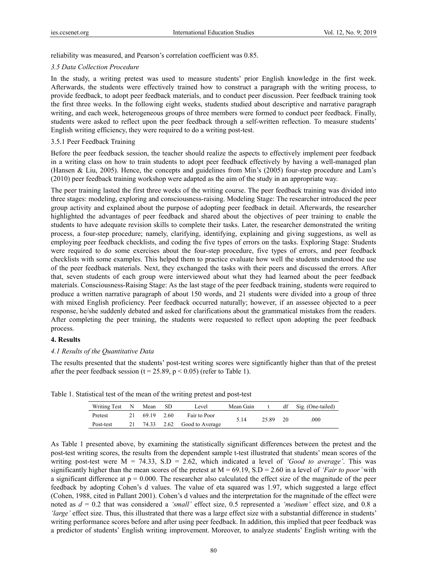reliability was measured, and Pearson's correlation coefficient was 0.85.

#### *3.5 Data Collection Procedure*

In the study, a writing pretest was used to measure students' prior English knowledge in the first week. Afterwards, the students were effectively trained how to construct a paragraph with the writing process, to provide feedback, to adopt peer feedback materials, and to conduct peer discussion. Peer feedback training took the first three weeks. In the following eight weeks, students studied about descriptive and narrative paragraph writing, and each week, heterogeneous groups of three members were formed to conduct peer feedback. Finally, students were asked to reflect upon the peer feedback through a self-written reflection. To measure students' English writing efficiency, they were required to do a writing post-test.

### 3.5.1 Peer Feedback Training

Before the peer feedback session, the teacher should realize the aspects to effectively implement peer feedback in a writing class on how to train students to adopt peer feedback effectively by having a well-managed plan (Hansen & Liu, 2005). Hence, the concepts and guidelines from Min's (2005) four-step procedure and Lam's (2010) peer feedback training workshop were adapted as the aim of the study in an appropriate way.

The peer training lasted the first three weeks of the writing course. The peer feedback training was divided into three stages: modeling, exploring and consciousness-raising. Modeling Stage: The researcher introduced the peer group activity and explained about the purpose of adopting peer feedback in detail. Afterwards, the researcher highlighted the advantages of peer feedback and shared about the objectives of peer training to enable the students to have adequate revision skills to complete their tasks. Later, the researcher demonstrated the writing process, a four-step procedure; namely, clarifying, identifying, explaining and giving suggestions, as well as employing peer feedback checklists, and coding the five types of errors on the tasks. Exploring Stage: Students were required to do some exercises about the four-step procedure, five types of errors, and peer feedback checklists with some examples. This helped them to practice evaluate how well the students understood the use of the peer feedback materials. Next, they exchanged the tasks with their peers and discussed the errors. After that, seven students of each group were interviewed about what they had learned about the peer feedback materials. Consciousness-Raising Stage: As the last stage of the peer feedback training, students were required to produce a written narrative paragraph of about 150 words, and 21 students were divided into a group of three with mixed English proficiency. Peer feedback occurred naturally; however, if an assessee objected to a peer response, he/she suddenly debated and asked for clarifications about the grammatical mistakes from the readers. After completing the peer training, the students were requested to reflect upon adopting the peer feedback process.

#### **4. Results**

## *4.1 Results of the Quantitative Data*

The results presented that the students' post-test writing scores were significantly higher than that of the pretest after the peer feedback session ( $t = 25.89$ ,  $p < 0.05$ ) (refer to Table 1).

| Writing Test N Mean |    |            | – SD | Level                      | Mean Gain |          | df Sig. (One-tailed) |
|---------------------|----|------------|------|----------------------------|-----------|----------|----------------------|
| Pretest             | 21 | 69.19 2.60 |      | Fair to Poor               | 5 1 4     |          |                      |
| Post-test           | 21 |            |      | 74.33 2.62 Good to Average |           | 25.89 20 | .000                 |

Table 1. Statistical test of the mean of the writing pretest and post-test

As Table 1 presented above, by examining the statistically significant differences between the pretest and the post-test writing scores, the results from the dependent sample t-test illustrated that students' mean scores of the writing post-test were M = 74.33, S.D = 2.62, which indicated a level of *'Good to average'*. This was significantly higher than the mean scores of the pretest at  $M = 69.19$ , S.D = 2.60 in a level of *'Fair to poor'* with a significant difference at  $p = 0.000$ . The researcher also calculated the effect size of the magnitude of the peer feedback by adopting Cohen's d values. The value of eta squared was 1.97, which suggested a large effect (Cohen, 1988, cited in Pallant 2001). Cohen's d values and the interpretation for the magnitude of the effect were noted as *d* = 0.2 that was considered a *'small'* effect size, 0.5 represented a *'medium'* effect size, and 0.8 a *'large'* effect size. Thus, this illustrated that there was a large effect size with a substantial difference in students' writing performance scores before and after using peer feedback. In addition, this implied that peer feedback was a predictor of students' English writing improvement. Moreover, to analyze students' English writing with the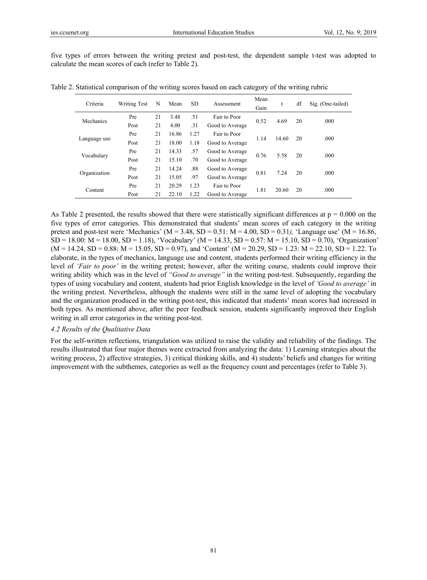five types of errors between the writing pretest and post-test, the dependent sample t-test was adopted to calculate the mean scores of each (refer to Table 2).

| Criteria     | <b>Writing Test</b> | N  | Mean  | <b>SD</b> | Assessment      | Mean<br>Gain |       | df | Sig. (One-tailed) |  |
|--------------|---------------------|----|-------|-----------|-----------------|--------------|-------|----|-------------------|--|
| Mechanics    | Pre                 | 21 | 3.48  | .51       | Fair to Poor    | 0.52         | 4.69  | 20 | .000              |  |
|              | Post                | 21 | 4.00  | .31       | Good to Average |              |       |    |                   |  |
|              | Pre                 | 21 | 16.86 | 1.27      | Fair to Poor    | 1.14         | 14.60 | 20 | .000              |  |
| Language use | Post                | 21 | 18.00 | 1.18      | Good to Average |              |       |    |                   |  |
| Vocabulary   | Pre                 | 21 | 14.33 | .57       | Good to Average | 0.76         | 5.58  | 20 | .000              |  |
|              | Post                | 21 | 15.10 | .70       | Good to Average |              |       |    |                   |  |
| Organization | Pre                 | 21 | 14.24 | .88       | Good to Average | 0.81         | 7.24  | 20 | .000              |  |
|              | Post                | 21 | 15.05 | .97       | Good to Average |              |       |    |                   |  |
| Content      | Pre                 | 21 | 20.29 | 1.23      | Fair to Poor    | 1.81         | 20.60 | 20 | .000              |  |
|              | Post                | 21 | 22.10 | 1.22      | Good to Average |              |       |    |                   |  |

Table 2. Statistical comparison of the writing scores based on each category of the writing rubric

As Table 2 presented, the results showed that there were statistically significant differences at  $p = 0.000$  on the five types of error categories. This demonstrated that students' mean scores of each category in the writing pretest and post-test were 'Mechanics' ( $M = 3.48$ ,  $SD = 0.51$ ;  $M = 4.00$ ,  $SD = 0.31$ ), 'Language use' ( $M = 16.86$ ,  $SD = 18.00$ :  $M = 18.00$ ,  $SD = 1.18$ ), 'Vocabulary' ( $M = 14.33$ ,  $SD = 0.57$ :  $M = 15.10$ ,  $SD = 0.70$ ), 'Organization'  $(M = 14.24, SD = 0.88; M = 15.05, SD = 0.97)$ , and 'Content'  $(M = 20.29, SD = 1.23; M = 22.10, SD = 1.22$ . To elaborate, in the types of mechanics, language use and content, students performed their writing efficiency in the level of *'Fair to poor'* in the writing pretest; however, after the writing course, students could improve their writing ability which was in the level of *"Good to average"* in the writing post-test. Subsequently, regarding the types of using vocabulary and content, students had prior English knowledge in the level of *'Good to average'* in the writing pretest. Nevertheless, although the students were still in the same level of adopting the vocabulary and the organization produced in the writing post-test, this indicated that students' mean scores had increased in both types. As mentioned above, after the peer feedback session, students significantly improved their English writing in all error categories in the writing post-test.

### *4.2 Results of the Qualitative Data*

For the self-written reflections, triangulation was utilized to raise the validity and reliability of the findings. The results illustrated that four major themes were extracted from analyzing the data: 1) Learning strategies about the writing process, 2) affective strategies, 3) critical thinking skills, and 4) students' beliefs and changes for writing improvement with the subthemes, categories as well as the frequency count and percentages (refer to Table 3).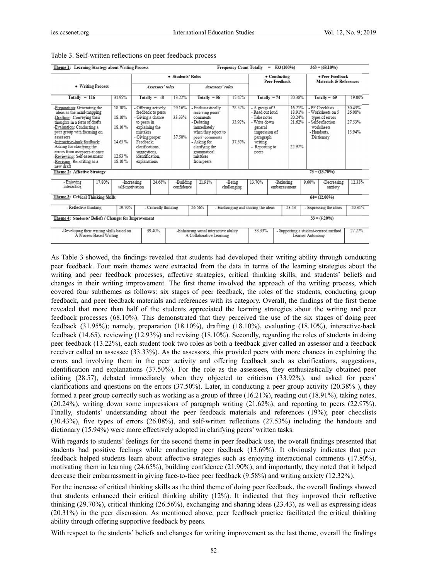| 533 (100%)<br>$363 = (68.10\%)$<br>Theme 1: Learning Strategy about Writing Process<br><b>Frequency Count Totally</b><br>$=$                                                                                                                                                                                                                                                                           |        |                                                         |                                                                                                                               |                                                                                 |                            |                                                                                                                                                                                                    |  |                               |                                                                                                                                                                                                  |                            |                                                           |                                                                                                                                             |                        |                                      |                 |  |
|--------------------------------------------------------------------------------------------------------------------------------------------------------------------------------------------------------------------------------------------------------------------------------------------------------------------------------------------------------------------------------------------------------|--------|---------------------------------------------------------|-------------------------------------------------------------------------------------------------------------------------------|---------------------------------------------------------------------------------|----------------------------|----------------------------------------------------------------------------------------------------------------------------------------------------------------------------------------------------|--|-------------------------------|--------------------------------------------------------------------------------------------------------------------------------------------------------------------------------------------------|----------------------------|-----------------------------------------------------------|---------------------------------------------------------------------------------------------------------------------------------------------|------------------------|--------------------------------------|-----------------|--|
|                                                                                                                                                                                                                                                                                                                                                                                                        |        |                                                         | • Students' Roles                                                                                                             |                                                                                 |                            |                                                                                                                                                                                                    |  | • Conducting<br>Peer Feedback |                                                                                                                                                                                                  |                            |                                                           | • Peer Feedback<br>Materials & References                                                                                                   |                        |                                      |                 |  |
| • Writing Process                                                                                                                                                                                                                                                                                                                                                                                      |        |                                                         | <b>Assessors' roles</b><br><b>Assessees' roles</b>                                                                            |                                                                                 |                            |                                                                                                                                                                                                    |  |                               |                                                                                                                                                                                                  |                            |                                                           |                                                                                                                                             |                        |                                      |                 |  |
| $Totally = 116$                                                                                                                                                                                                                                                                                                                                                                                        |        | 31.95%                                                  |                                                                                                                               | $Totally = 48$                                                                  | 13.22%                     | 15.42%<br>$Totally = 56$                                                                                                                                                                           |  | Totally $= 74$<br>20.38%      |                                                                                                                                                                                                  |                            | $Totally = 69$                                            |                                                                                                                                             | 19.00%                 |                                      |                 |  |
| -Preparation: Generating the<br>ideas as the mind-mapping<br>-Drafting: Conveying their<br>thoughts in a form of drafts<br>-Evaluation: Conducting a<br>peer group with focusing on<br>assessors<br>-Interactive-back feedback:<br>Asking for clarifying the<br>errors from assessors at once<br>-Reviewing: Self-assessment<br>-Revising: Re-writing as a<br>new draft<br>Theme 2: Affective Strategy |        | 18.10%<br>18.10%<br>18.10%<br>14.65%<br>1293%<br>18.10% | to peers in<br>mistakes<br>- Giving proper<br>Feedback:<br>clarifications.<br>suggestions.<br>identification.<br>explanations | - Offering actively<br>feedback to peers<br>- Giving a chance<br>explaining the | 29.16%<br>33.33%<br>37.50% | Enthusiastically<br>receiving peers'<br>comments<br>- Debating<br>immediately<br>when they reject to<br>peers' comments<br>- Asking for<br>clarifying the<br>grammatical<br>mistakes<br>from peers |  | 28.57%<br>33.92%<br>37.50%    | 16.21%<br>- A group of 3<br>- Read out loud<br>18.91%<br>20.24%<br>- Take notes<br>21.62%<br>- Write down<br>general<br>impression of<br>paragraph<br>writing<br>22.97%<br>Reporting to<br>peers |                            |                                                           | - PF Checklists<br>- Worksheets on 5<br>types of errors<br>- Self-reflection<br>worksheets<br>- Handouts.<br>Dictionary<br>$73 = (13.70\%)$ |                        | 30.43%<br>26.08%<br>27.53%<br>15.94% |                 |  |
|                                                                                                                                                                                                                                                                                                                                                                                                        |        |                                                         |                                                                                                                               |                                                                                 |                            |                                                                                                                                                                                                    |  |                               |                                                                                                                                                                                                  |                            |                                                           |                                                                                                                                             |                        |                                      |                 |  |
| - Enjoying<br>interaction                                                                                                                                                                                                                                                                                                                                                                              | 17.80% | -Increasing<br>self-motivation                          |                                                                                                                               | 24.65%                                                                          | -Building<br>confidence    | 21.91%<br>-Being<br>challenging                                                                                                                                                                    |  | 13.70%                        |                                                                                                                                                                                                  | -Reducing<br>embarrassment |                                                           | 9.60%                                                                                                                                       | -Decreasing<br>anxiety | 12.33%                               |                 |  |
| Theme 3: Critical Thinking Skills<br>$64 = (12.00\%)$                                                                                                                                                                                                                                                                                                                                                  |        |                                                         |                                                                                                                               |                                                                                 |                            |                                                                                                                                                                                                    |  |                               |                                                                                                                                                                                                  |                            |                                                           |                                                                                                                                             |                        |                                      |                 |  |
| - Reflective thinking                                                                                                                                                                                                                                                                                                                                                                                  |        | 29.70%                                                  |                                                                                                                               | - Critically thinking                                                           |                            | 26.56%<br>- Exchanging and sharing the ideas                                                                                                                                                       |  |                               |                                                                                                                                                                                                  |                            | 23.43                                                     |                                                                                                                                             | - Expressing the ideas |                                      | 20.31%          |  |
| Theme 4: Students' Beliefs / Changes for Improvement                                                                                                                                                                                                                                                                                                                                                   |        |                                                         |                                                                                                                               |                                                                                 |                            |                                                                                                                                                                                                    |  |                               |                                                                                                                                                                                                  |                            |                                                           |                                                                                                                                             |                        |                                      | $33 = (6.20\%)$ |  |
| -Developing their writing skills based on<br>A Process-Based Writing                                                                                                                                                                                                                                                                                                                                   |        |                                                         |                                                                                                                               | 39.40%<br>-Enhancing social interactive ability<br>A Collaborative Learning     |                            |                                                                                                                                                                                                    |  |                               | 33.33%                                                                                                                                                                                           |                            | - Supporting a student-centred method<br>Learner Autonomy |                                                                                                                                             |                        |                                      | 27.27%          |  |

|  |  | Table 3. Self-written reflections on peer feedback process |
|--|--|------------------------------------------------------------|
|--|--|------------------------------------------------------------|

As Table 3 showed, the findings revealed that students had developed their writing ability through conducting peer feedback. Four main themes were extracted from the data in terms of the learning strategies about the writing and peer feedback processes, affective strategies, critical thinking skills, and students' beliefs and changes in their writing improvement. The first theme involved the approach of the writing process, which covered four subthemes as follows: six stages of peer feedback, the roles of the students, conducting group feedback, and peer feedback materials and references with its category. Overall, the findings of the first theme revealed that more than half of the students appreciated the learning strategies about the writing and peer feedback processes (68.10%). This demonstrated that they perceived the use of the six stages of doing peer feedback (31.95%); namely, preparation (18.10%), drafting (18.10%), evaluating (18.10%), interactive-back feedback (14.65), reviewing (12.93%) and revising (18.10%). Secondly, regarding the roles of students in doing peer feedback (13.22%), each student took two roles as both a feedback giver called an assessor and a feedback receiver called an assessee (33.33%). As the assessors, this provided peers with more chances in explaining the errors and involving them in the peer activity and offering feedback such as clarifications, suggestions, identification and explanations (37.50%). For the role as the assessees, they enthusiastically obtained peer editing (28.57), debated immediately when they objected to criticism (33.92%), and asked for peers' clarifications and questions on the errors  $(37.50\%)$ . Later, in conducting a peer group activity  $(20.38\%)$ , they formed a peer group correctly such as working as a group of three  $(16.21\%)$ , reading out  $(18.91\%)$ , taking notes,  $(20.24\%)$ , writing down some impressions of paragraph writing  $(21.62\%)$ , and reporting to peers  $(22.97\%)$ . Finally, students' understanding about the peer feedback materials and references (19%); peer checklists  $(30.43\%)$ , five types of errors  $(26.08\%)$ , and self-written reflections  $(27.53\%)$  including the handouts and dictionary (15.94%) were more effectively adopted in clarifying peers' written tasks.

With regards to students' feelings for the second theme in peer feedback use, the overall findings presented that students had positive feelings while conducting peer feedback (13.69%). It obviously indicates that peer feedback helped students learn about affective strategies such as enjoying interactional comments (17.80%), motivating them in learning (24.65%), building confidence (21.90%), and importantly, they noted that it helped decrease their embarrassment in giving face-to-face peer feedback (9.58%) and writing anxiety (12.32%).

For the increase of critical thinking skills as the third theme of doing peer feedback, the overall findings showed that students enhanced their critical thinking ability (12%). It indicated that they improved their reflective thinking  $(29.70\%)$ , critical thinking  $(26.56\%)$ , exchanging and sharing ideas  $(23.43)$ , as well as expressing ideas (20.31%) in the peer discussion. As mentioned above, peer feedback practice facilitated the critical thinking ability through offering supportive feedback by peers.

With respect to the students' beliefs and changes for writing improvement as the last theme, overall the findings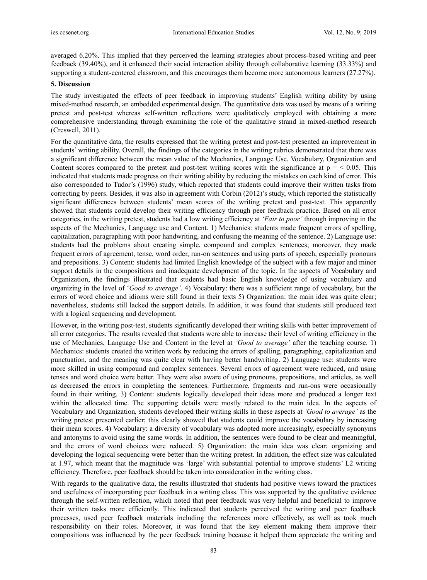averaged 6.20%. This implied that they perceived the learning strategies about process-based writing and peer feedback (39.40%), and it enhanced their social interaction ability through collaborative learning (33.33%) and supporting a student-centered classroom, and this encourages them become more autonomous learners (27.27%).

## **5. Discussion**

The study investigated the effects of peer feedback in improving students' English writing ability by using mixed-method research, an embedded experimental design. The quantitative data was used by means of a writing pretest and post-test whereas self-written reflections were qualitatively employed with obtaining a more comprehensive understanding through examining the role of the qualitative strand in mixed-method research (Creswell, 2011).

For the quantitative data, the results expressed that the writing pretest and post-test presented an improvement in students' writing ability. Overall, the findings of the categories in the writing rubrics demonstrated that there was a significant difference between the mean value of the Mechanics, Language Use, Vocabulary, Organization and Content scores compared to the pretest and post-test writing scores with the significance at  $p = 0.05$ . This indicated that students made progress on their writing ability by reducing the mistakes on each kind of error. This also corresponded to Tudor's (1996) study, which reported that students could improve their written tasks from correcting by peers. Besides, it was also in agreement with Corbin (2012)'s study, which reported the statistically significant differences between students' mean scores of the writing pretest and post-test. This apparently showed that students could develop their writing efficiency through peer feedback practice. Based on all error categories, in the writing pretest, students had a low writing efficiency at *'Fair to poor'* through improving in the aspects of the Mechanics, Language use and Content. 1) Mechanics: students made frequent errors of spelling, capitalization, paragraphing with poor handwriting, and confusing the meaning of the sentence. 2) Language use: students had the problems about creating simple, compound and complex sentences; moreover, they made frequent errors of agreement, tense, word order, run-on sentences and using parts of speech, especially pronouns and prepositions. 3) Content: students had limited English knowledge of the subject with a few major and minor support details in the compositions and inadequate development of the topic. In the aspects of Vocabulary and Organization, the findings illustrated that students had basic English knowledge of using vocabulary and organizing in the level of '*Good to average'*. 4) Vocabulary: there was a sufficient range of vocabulary, but the errors of word choice and idioms were still found in their texts 5) Organization: the main idea was quite clear; nevertheless, students still lacked the support details. In addition, it was found that students still produced text with a logical sequencing and development.

However, in the writing post-test, students significantly developed their writing skills with better improvement of all error categories. The results revealed that students were able to increase their level of writing efficiency in the use of Mechanics, Language Use and Content in the level at *'Good to average'* after the teaching course. 1) Mechanics: students created the written work by reducing the errors of spelling, paragraphing, capitalization and punctuation, and the meaning was quite clear with having better handwriting. 2) Language use: students were more skilled in using compound and complex sentences. Several errors of agreement were reduced, and using tenses and word choice were better. They were also aware of using pronouns, prepositions, and articles, as well as decreased the errors in completing the sentences. Furthermore, fragments and run-ons were occasionally found in their writing. 3) Content: students logically developed their ideas more and produced a longer text within the allocated time. The supporting details were mostly related to the main idea. In the aspects of Vocabulary and Organization*,* students developed their writing skills in these aspects at *'Good to average'* as the writing pretest presented earlier; this clearly showed that students could improve the vocabulary by increasing their mean scores. 4) Vocabulary: a diversity of vocabulary was adopted more increasingly, especially synonyms and antonyms to avoid using the same words. In addition, the sentences were found to be clear and meaningful, and the errors of word choices were reduced. 5) Organization: the main idea was clear; organizing and developing the logical sequencing were better than the writing pretest. In addition, the effect size was calculated at 1.97, which meant that the magnitude was 'large' with substantial potential to improve students' L2 writing efficiency. Therefore, peer feedback should be taken into consideration in the writing class.

With regards to the qualitative data, the results illustrated that students had positive views toward the practices and usefulness of incorporating peer feedback in a writing class. This was supported by the qualitative evidence through the self-written reflection, which noted that peer feedback was very helpful and beneficial to improve their written tasks more efficiently. This indicated that students perceived the writing and peer feedback processes, used peer feedback materials including the references more effectively, as well as took much responsibility on their roles. Moreover, it was found that the key element making them improve their compositions was influenced by the peer feedback training because it helped them appreciate the writing and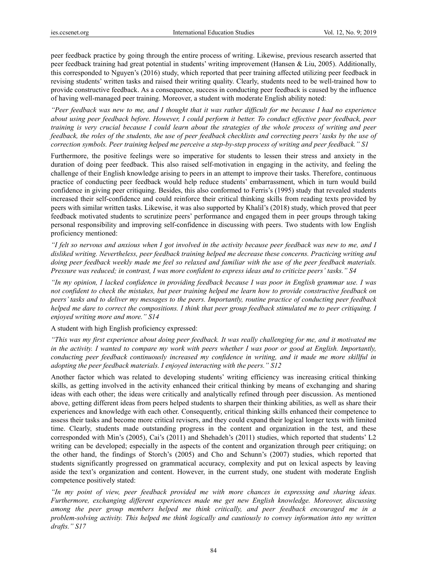peer feedback practice by going through the entire process of writing. Likewise, previous research asserted that peer feedback training had great potential in students' writing improvement (Hansen & Liu, 2005). Additionally, this corresponded to Nguyen's (2016) study, which reported that peer training affected utilizing peer feedback in revising students' written tasks and raised their writing quality. Clearly, students need to be well-trained how to provide constructive feedback. As a consequence, success in conducting peer feedback is caused by the influence of having well-managed peer training. Moreover, a student with moderate English ability noted:

*"Peer feedback was new to me, and I thought that it was rather difficult for me because I had no experience about using peer feedback before. However, I could perform it better. To conduct effective peer feedback, peer training is very crucial because I could learn about the strategies of the whole process of writing and peer feedback, the roles of the students, the use of peer feedback checklists and correcting peers' tasks by the use of correction symbols. Peer training helped me perceive a step-by-step process of writing and peer feedback." S1* 

Furthermore, the positive feelings were so imperative for students to lessen their stress and anxiety in the duration of doing peer feedback. This also raised self-motivation in engaging in the activity, and feeling the challenge of their English knowledge arising to peers in an attempt to improve their tasks. Therefore, continuous practice of conducting peer feedback would help reduce students' embarrassment, which in turn would build confidence in giving peer critiquing. Besides, this also conformed to Ferris's (1995) study that revealed students increased their self-confidence and could reinforce their critical thinking skills from reading texts provided by peers with similar written tasks. Likewise, it was also supported by Khalil's (2018) study, which proved that peer feedback motivated students to scrutinize peers' performance and engaged them in peer groups through taking personal responsibility and improving self-confidence in discussing with peers. Two students with low English proficiency mentioned:

*"I felt so nervous and anxious when I got involved in the activity because peer feedback was new to me, and I disliked writing. Nevertheless, peer feedback training helped me decrease these concerns. Practicing writing and doing peer feedback weekly made me feel so relaxed and familiar with the use of the peer feedback materials. Pressure was reduced; in contrast, I was more confident to express ideas and to criticize peers' tasks." S4* 

*"In my opinion, I lacked confidence in providing feedback because I was poor in English grammar use. I was not confident to check the mistakes, but peer training helped me learn how to provide constructive feedback on peers' tasks and to deliver my messages to the peers. Importantly, routine practice of conducting peer feedback helped me dare to correct the compositions. I think that peer group feedback stimulated me to peer critiquing. I enjoyed writing more and more." S14* 

A student with high English proficiency expressed:

*"This was my first experience about doing peer feedback. It was really challenging for me, and it motivated me in the activity. I wanted to compare my work with peers whether I was poor or good at English. Importantly, conducting peer feedback continuously increased my confidence in writing, and it made me more skillful in adopting the peer feedback materials. I enjoyed interacting with the peers." S12* 

Another factor which was related to developing students' writing efficiency was increasing critical thinking skills, as getting involved in the activity enhanced their critical thinking by means of exchanging and sharing ideas with each other; the ideas were critically and analytically refined through peer discussion. As mentioned above, getting different ideas from peers helped students to sharpen their thinking abilities, as well as share their experiences and knowledge with each other. Consequently, critical thinking skills enhanced their competence to assess their tasks and become more critical revisers, and they could expand their logical longer texts with limited time. Clearly, students made outstanding progress in the content and organization in the test, and these corresponded with Min's (2005), Cai's (2011) and Shehadeh's (2011) studies, which reported that students' L2 writing can be developed; especially in the aspects of the content and organization through peer critiquing; on the other hand, the findings of Storch's (2005) and Cho and Schunn's (2007) studies, which reported that students significantly progressed on grammatical accuracy, complexity and put on lexical aspects by leaving aside the text's organization and content. However, in the current study, one student with moderate English competence positively stated:

*"In my point of view, peer feedback provided me with more chances in expressing and sharing ideas. Furthermore, exchanging different experiences made me get new English knowledge. Moreover, discussing among the peer group members helped me think critically, and peer feedback encouraged me in a problem-solving activity. This helped me think logically and cautiously to convey information into my written drafts." S17*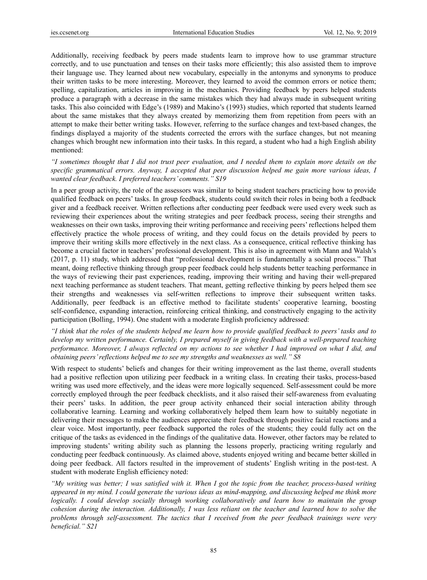Additionally, receiving feedback by peers made students learn to improve how to use grammar structure correctly, and to use punctuation and tenses on their tasks more efficiently; this also assisted them to improve their language use. They learned about new vocabulary, especially in the antonyms and synonyms to produce their written tasks to be more interesting. Moreover, they learned to avoid the common errors or notice them; spelling, capitalization, articles in improving in the mechanics. Providing feedback by peers helped students produce a paragraph with a decrease in the same mistakes which they had always made in subsequent writing tasks. This also coincided with Edge's (1989) and Makino's (1993) studies, which reported that students learned about the same mistakes that they always created by memorizing them from repetition from peers with an attempt to make their better writing tasks. However, referring to the surface changes and text-based changes, the findings displayed a majority of the students corrected the errors with the surface changes, but not meaning changes which brought new information into their tasks. In this regard, a student who had a high English ability mentioned:

*"I sometimes thought that I did not trust peer evaluation, and I needed them to explain more details on the specific grammatical errors. Anyway, I accepted that peer discussion helped me gain more various ideas, I wanted clear feedback. I preferred teachers' comments." S19* 

In a peer group activity, the role of the assessors was similar to being student teachers practicing how to provide qualified feedback on peers' tasks. In group feedback, students could switch their roles in being both a feedback giver and a feedback receiver. Written reflections after conducting peer feedback were used every week such as reviewing their experiences about the writing strategies and peer feedback process, seeing their strengths and weaknesses on their own tasks, improving their writing performance and receiving peers' reflections helped them effectively practice the whole process of writing, and they could focus on the details provided by peers to improve their writing skills more effectively in the next class. As a consequence, critical reflective thinking has become a crucial factor in teachers' professional development. This is also in agreement with Mann and Walsh's (2017, p. 11) study, which addressed that "professional development is fundamentally a social process." That meant, doing reflective thinking through group peer feedback could help students better teaching performance in the ways of reviewing their past experiences, reading, improving their writing and having their well-prepared next teaching performance as student teachers. That meant, getting reflective thinking by peers helped them see their strengths and weaknesses via self-written reflections to improve their subsequent written tasks. Additionally, peer feedback is an effective method to facilitate students' cooperative learning, boosting self-confidence, expanding interaction, reinforcing critical thinking, and constructively engaging to the activity participation (Bolling, 1994). One student with a moderate English proficiency addressed:

*"I think that the roles of the students helped me learn how to provide qualified feedback to peers' tasks and to develop my written performance. Certainly, I prepared myself in giving feedback with a well-prepared teaching performance. Moreover, I always reflected on my actions to see whether I had improved on what I did, and obtaining peers' reflections helped me to see my strengths and weaknesses as well." S8* 

With respect to students' beliefs and changes for their writing improvement as the last theme, overall students had a positive reflection upon utilizing peer feedback in a writing class. In creating their tasks, process-based writing was used more effectively, and the ideas were more logically sequenced. Self-assessment could be more correctly employed through the peer feedback checklists, and it also raised their self-awareness from evaluating their peers' tasks. In addition, the peer group activity enhanced their social interaction ability through collaborative learning. Learning and working collaboratively helped them learn how to suitably negotiate in delivering their messages to make the audiences appreciate their feedback through positive facial reactions and a clear voice. Most importantly, peer feedback supported the roles of the students; they could fully act on the critique of the tasks as evidenced in the findings of the qualitative data. However, other factors may be related to improving students' writing ability such as planning the lessons properly, practicing writing regularly and conducting peer feedback continuously. As claimed above, students enjoyed writing and became better skilled in doing peer feedback. All factors resulted in the improvement of students' English writing in the post-test. A student with moderate English efficiency noted:

*"My writing was better; I was satisfied with it. When I got the topic from the teacher, process-based writing appeared in my mind. I could generate the various ideas as mind-mapping, and discussing helped me think more logically. I could develop socially through working collaboratively and learn how to maintain the group cohesion during the interaction. Additionally, I was less reliant on the teacher and learned how to solve the problems through self-assessment. The tactics that I received from the peer feedback trainings were very beneficial." S21*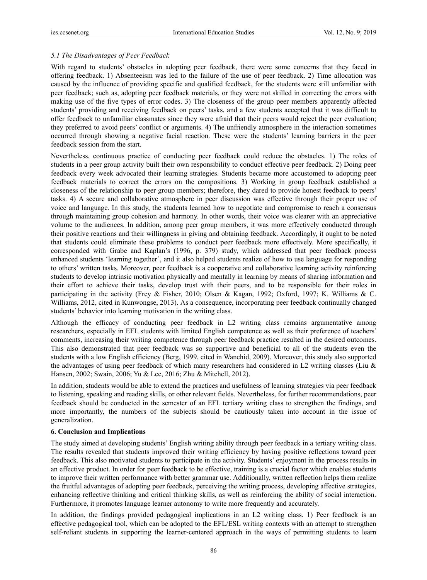# *5.1 The Disadvantages of Peer Feedback*

With regard to students' obstacles in adopting peer feedback, there were some concerns that they faced in offering feedback. 1) Absenteeism was led to the failure of the use of peer feedback. 2) Time allocation was caused by the influence of providing specific and qualified feedback, for the students were still unfamiliar with peer feedback; such as, adopting peer feedback materials, or they were not skilled in correcting the errors with making use of the five types of error codes. 3) The closeness of the group peer members apparently affected students' providing and receiving feedback on peers' tasks, and a few students accepted that it was difficult to offer feedback to unfamiliar classmates since they were afraid that their peers would reject the peer evaluation; they preferred to avoid peers' conflict or arguments. 4) The unfriendly atmosphere in the interaction sometimes occurred through showing a negative facial reaction. These were the students' learning barriers in the peer feedback session from the start.

Nevertheless, continuous practice of conducting peer feedback could reduce the obstacles. 1) The roles of students in a peer group activity built their own responsibility to conduct effective peer feedback. 2) Doing peer feedback every week advocated their learning strategies. Students became more accustomed to adopting peer feedback materials to correct the errors on the compositions. 3) Working in group feedback established a closeness of the relationship to peer group members; therefore, they dared to provide honest feedback to peers' tasks. 4) A secure and collaborative atmosphere in peer discussion was effective through their proper use of voice and language. In this study, the students learned how to negotiate and compromise to reach a consensus through maintaining group cohesion and harmony. In other words, their voice was clearer with an appreciative volume to the audiences. In addition, among peer group members, it was more effectively conducted through their positive reactions and their willingness in giving and obtaining feedback. Accordingly, it ought to be noted that students could eliminate these problems to conduct peer feedback more effectively. More specifically, it corresponded with Grabe and Kaplan's (1996, p. 379) study, which addressed that peer feedback process enhanced students 'learning together', and it also helped students realize of how to use language for responding to others' written tasks. Moreover, peer feedback is a cooperative and collaborative learning activity reinforcing students to develop intrinsic motivation physically and mentally in learning by means of sharing information and their effort to achieve their tasks, develop trust with their peers, and to be responsible for their roles in participating in the activity (Frey & Fisher, 2010; Olsen & Kagan, 1992; Oxford, 1997; K. Williams & C. Williams, 2012, cited in Kunwongse, 2013). As a consequence, incorporating peer feedback continually changed students' behavior into learning motivation in the writing class.

Although the efficacy of conducting peer feedback in L2 writing class remains argumentative among researchers, especially in EFL students with limited English competence as well as their preference of teachers' comments, increasing their writing competence through peer feedback practice resulted in the desired outcomes. This also demonstrated that peer feedback was so supportive and beneficial to all of the students even the students with a low English efficiency (Berg, 1999, cited in Wanchid, 2009). Moreover, this study also supported the advantages of using peer feedback of which many researchers had considered in L2 writing classes (Liu & Hansen, 2002; Swain, 2006; Yu & Lee, 2016; Zhu & Mitchell, 2012).

In addition, students would be able to extend the practices and usefulness of learning strategies via peer feedback to listening, speaking and reading skills, or other relevant fields. Nevertheless, for further recommendations, peer feedback should be conducted in the semester of an EFL tertiary writing class to strengthen the findings, and more importantly, the numbers of the subjects should be cautiously taken into account in the issue of generalization.

## **6. Conclusion and Implications**

The study aimed at developing students' English writing ability through peer feedback in a tertiary writing class. The results revealed that students improved their writing efficiency by having positive reflections toward peer feedback. This also motivated students to participate in the activity. Students' enjoyment in the process results in an effective product. In order for peer feedback to be effective, training is a crucial factor which enables students to improve their written performance with better grammar use. Additionally, written reflection helps them realize the fruitful advantages of adopting peer feedback, perceiving the writing process, developing affective strategies, enhancing reflective thinking and critical thinking skills, as well as reinforcing the ability of social interaction. Furthermore, it promotes language learner autonomy to write more frequently and accurately.

In addition, the findings provided pedagogical implications in an L2 writing class. 1) Peer feedback is an effective pedagogical tool, which can be adopted to the EFL/ESL writing contexts with an attempt to strengthen self-reliant students in supporting the learner-centered approach in the ways of permitting students to learn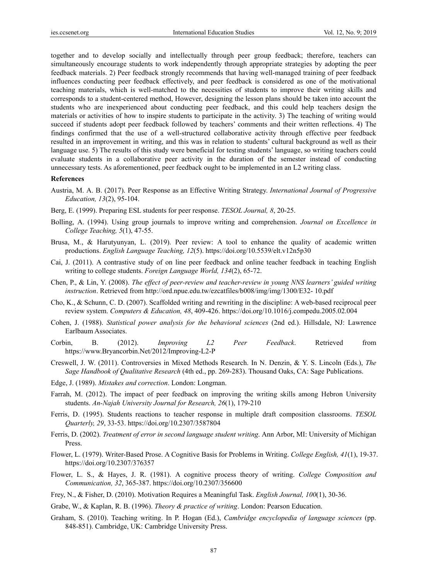together and to develop socially and intellectually through peer group feedback; therefore, teachers can simultaneously encourage students to work independently through appropriate strategies by adopting the peer feedback materials. 2) Peer feedback strongly recommends that having well-managed training of peer feedback influences conducting peer feedback effectively, and peer feedback is considered as one of the motivational teaching materials, which is well-matched to the necessities of students to improve their writing skills and corresponds to a student-centered method, However, designing the lesson plans should be taken into account the students who are inexperienced about conducting peer feedback, and this could help teachers design the materials or activities of how to inspire students to participate in the activity. 3) The teaching of writing would succeed if students adopt peer feedback followed by teachers' comments and their written reflections. 4) The findings confirmed that the use of a well-structured collaborative activity through effective peer feedback resulted in an improvement in writing, and this was in relation to students' cultural background as well as their language use. 5) The results of this study were beneficial for testing students' language, so writing teachers could evaluate students in a collaborative peer activity in the duration of the semester instead of conducting unnecessary tests. As aforementioned, peer feedback ought to be implemented in an L2 writing class.

#### **References**

- Austria, M. A. B. (2017). Peer Response as an Effective Writing Strategy. *International Journal of Progressive Education, 13*(2), 95-104.
- Berg, E. (1999). Preparing ESL students for peer response. *TESOL Journal, 8*, 20-25.
- Bolling, A. (1994). Using group journals to improve writing and comprehension. *Journal on Excellence in College Teaching, 5*(1), 47-55.
- Brusa, M., & Harutyunyan, L. (2019). Peer review: A tool to enhance the quality of academic written productions. *English Language Teaching, 12*(5). https://doi.org/10.5539/elt.v12n5p30
- Cai, J. (2011). A contrastive study of on line peer feedback and online teacher feedback in teaching English writing to college students. *Foreign Language World, 134*(2), 65-72.
- Chen, P., & Lin, Y. (2008). *The effect of peer-review and teacher-review in young NNS learners' guided writing instruction*. Retrieved from http://ord.npue.edu.tw/ezcatfiles/b008/img/img/1300/E32- 10.pdf
- Cho, K., & Schunn, C. D. (2007). Scaffolded writing and rewriting in the discipline: A web-based reciprocal peer review system. *Computers & Education, 48*, 409-426. https://doi.org/10.1016/j.compedu.2005.02.004
- Cohen, J. (1988). *Statistical power analysis for the behavioral sciences* (2nd ed.). Hillsdale, NJ: Lawrence Earlbaum Associates.
- Corbin, B. (2012). *Improving L2 Peer Feedback*. Retrieved from https://www.Bryancorbin.Net/2012/Improving-L2-P
- Creswell, J. W. (2011). Controversies in Mixed Methods Research. In N. Denzin, & Y. S. Lincoln (Eds.), *The Sage Handbook of Qualitative Research* (4th ed., pp. 269-283). Thousand Oaks, CA: Sage Publications.
- Edge, J. (1989). *Mistakes and correction*. London: Longman.
- Farrah, M. (2012). The impact of peer feedback on improving the writing skills among Hebron University students. *An-Najah University Journal for Research, 26*(1), 179-210
- Ferris, D. (1995). Students reactions to teacher response in multiple draft composition classrooms. *TESOL Quarterly, 29*, 33-53. https://doi.org/10.2307/3587804
- Ferris, D. (2002). *Treatment of error in second language student writing*. Ann Arbor, MI: University of Michigan Press.
- Flower, L. (1979). Writer-Based Prose. A Cognitive Basis for Problems in Writing. *College English, 41*(1), 19-37. https://doi.org/10.2307/376357
- Flower, L. S., & Hayes, J. R. (1981). A cognitive process theory of writing. *College Composition and Communication, 32*, 365-387. https://doi.org/10.2307/356600
- Frey, N., & Fisher, D. (2010). Motivation Requires a Meaningful Task. *English Journal, 100*(1), 30-36.
- Grabe, W., & Kaplan, R. B. (1996). *Theory & practice of writing*. London: Pearson Education.
- Graham, S. (2010). Teaching writing. In P. Hogan (Ed.), *Cambridge encyclopedia of language sciences* (pp. 848-851). Cambridge, UK: Cambridge University Press.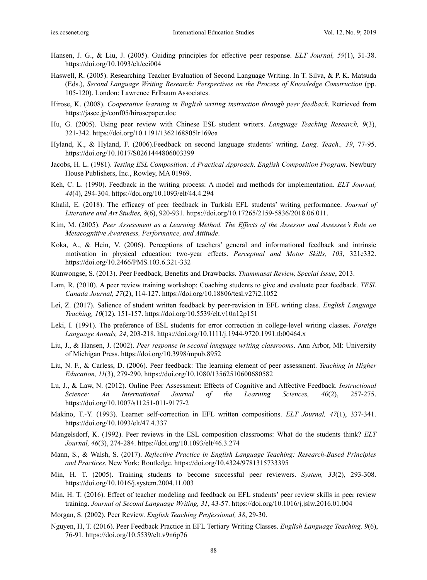- Hansen, J. G., & Liu, J. (2005). Guiding principles for effective peer response. *ELT Journal, 59*(1), 31-38. https://doi.org/10.1093/elt/cci004
- Haswell, R. (2005). Researching Teacher Evaluation of Second Language Writing. In T. Silva, & P. K. Matsuda (Eds.), *Second Language Writing Research: Perspectives on the Process of Knowledge Construction* (pp. 105-120). London: Lawrence Erlbaum Associates.
- Hirose, K. (2008). *Cooperative learning in English writing instruction through peer feedback*. Retrieved from https://jasce.jp/conf05/hirosepaper.doc
- Hu, G. (2005). Using peer review with Chinese ESL student writers. *Language Teaching Research, 9*(3), 321-342. https://doi.org/10.1191/1362168805lr169oa
- Hyland, K., & Hyland, F. (2006).Feedback on second language students' writing. *Lang. Teach., 39*, 77-95. https://doi.org/10.1017/S0261444806003399
- Jacobs, H. L. (1981). *Testing ESL Composition: A Practical Approach. English Composition Program*. Newbury House Publishers, Inc., Rowley, MA 01969.
- Keh, C. L. (1990). Feedback in the writing process: A model and methods for implementation. *ELT Journal, 44*(4), 294-304. https://doi.org/10.1093/elt/44.4.294
- Khalil, E. (2018). The efficacy of peer feedback in Turkish EFL students' writing performance. *Journal of Literature and Art Studies, 8*(6), 920-931. https://doi.org/10.17265/2159-5836/2018.06.011.
- Kim, M. (2005). *Peer Assessment as a Learning Method. The Effects of the Assessor and Assessee's Role on Metacognitive Awareness, Performance, and Attitude*.
- Koka, A., & Hein, V. (2006). Perceptions of teachers' general and informational feedback and intrinsic motivation in physical education: two-year effects. *Perceptual and Motor Skills, 103*, 321e332. https://doi.org/10.2466/PMS.103.6.321-332
- Kunwongse, S. (2013). Peer Feedback, Benefits and Drawbacks. *Thammasat Review, Special Issue*, 2013.
- Lam, R. (2010). A peer review training workshop: Coaching students to give and evaluate peer feedback. *TESL Canada Journal, 27*(2), 114-127. https://doi.org/10.18806/tesl.v27i2.1052
- Lei, Z. (2017). Salience of student written feedback by peer-revision in EFL writing class. *English Language Teaching, 10*(12), 151-157. https://doi.org/10.5539/elt.v10n12p151
- Leki, I. (1991). The preference of ESL students for error correction in college-level writing classes. *Foreign Language Annals, 24*, 203-218. https://doi.org/10.1111/j.1944-9720.1991.tb00464.x
- Liu, J., & Hansen, J. (2002). *Peer response in second language writing classrooms*. Ann Arbor, MI: University of Michigan Press. https://doi.org/10.3998/mpub.8952
- Liu, N. F., & Carless, D. (2006). Peer feedback: The learning element of peer assessment. *Teaching in Higher Education, 11*(3), 279-290. https://doi.org/10.1080/13562510600680582
- Lu, J., & Law, N. (2012). Online Peer Assessment: Effects of Cognitive and Affective Feedback. *Instructional Science: An International Journal of the Learning Sciences, 40*(2), 257-275. https://doi.org/10.1007/s11251-011-9177-2
- Makino, T.-Y. (1993). Learner self-correction in EFL written compositions. *ELT Journal, 47*(1), 337-341. https://doi.org/10.1093/elt/47.4.337
- Mangelsdorf, K. (1992). Peer reviews in the ESL composition classrooms: What do the students think? *ELT Journal, 46*(3), 274-284. https://doi.org/10.1093/elt/46.3.274
- Mann, S., & Walsh, S. (2017). *Reflective Practice in English Language Teaching: Research-Based Principles and Practices*. New York: Routledge. https://doi.org/10.4324/9781315733395
- Min, H. T. (2005). Training students to become successful peer reviewers. *System, 33*(2), 293-308. https://doi.org/10.1016/j.system.2004.11.003
- Min, H. T. (2016). Effect of teacher modeling and feedback on EFL students' peer review skills in peer review training. *Journal of Second Language Writing, 31*, 43-57. https://doi.org/10.1016/j.jslw.2016.01.004
- Morgan, S. (2002). Peer Review. *English Teaching Professional, 38*, 29-30.
- Nguyen, H, T. (2016). Peer Feedback Practice in EFL Tertiary Writing Classes. *English Language Teaching, 9*(6), 76-91. https://doi.org/10.5539/elt.v9n6p76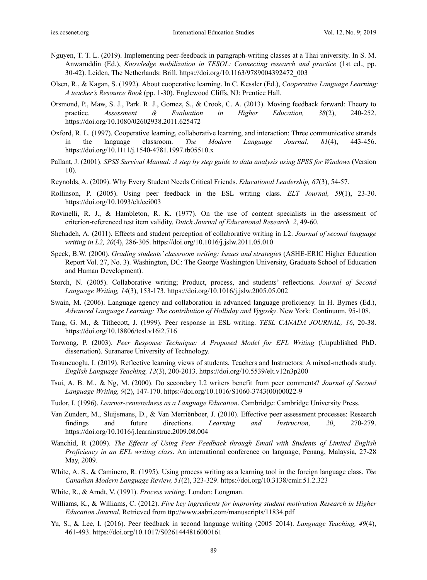- Nguyen, T. T. L. (2019). Implementing peer-feedback in paragraph-writing classes at a Thai university. In S. M. Anwaruddin (Ed.), *Knowledge mobilization in TESOL: Connecting research and practice* (1st ed., pp. 30-42). Leiden, The Netherlands: Brill. https://doi.org/10.1163/9789004392472\_003
- Olsen, R., & Kagan, S. (1992). About cooperative learning. In C. Kessler (Ed.), *Cooperative Language Learning: A teacher's Resource Book* (pp. 1-30). Englewood Cliffs, NJ: Prentice Hall.
- Orsmond, P., Maw, S. J., Park. R. J., Gomez, S., & Crook, C. A. (2013). Moving feedback forward: Theory to practice. *Assessment & Evaluation in Higher Education, 38*(2), 240-252. https://doi.org/10.1080/02602938.2011.625472
- Oxford, R. L. (1997). Cooperative learning, collaborative learning, and interaction: Three communicative strands in the language classroom. *The Modern Language Journal, 81*(4), 443-456. https://doi.org/10.1111/j.1540-4781.1997.tb05510.x
- Pallant, J. (2001). *SPSS Survival Manual: A step by step guide to data analysis using SPSS for Windows* (Version 10).
- Reynolds, A. (2009). Why Every Student Needs Critical Friends. *Educational Leadership, 67*(3), 54-57.
- Rollinson, P. (2005). Using peer feedback in the ESL writing class. *ELT Journal, 59*(1), 23-30. https://doi.org/10.1093/elt/cci003
- Rovinelli, R. J., & Hambleton, R. K. (1977). On the use of content specialists in the assessment of criterion-referenced test item validity. *Dutch Journal of Educational Research, 2*, 49-60.
- Shehadeh, A. (2011). Effects and student perception of collaborative writing in L2. *Journal of second language writing in L2, 20*(4), 286-305. https://doi.org/10.1016/j.jslw.2011.05.010
- Speck, B.W. (2000). *Grading students' classroom writing: Issues and strategie*s (ASHE-ERIC Higher Education Report Vol. 27, No. 3). Washington, DC: The George Washington University, Graduate School of Education and Human Development).
- Storch, N. (2005). Collaborative writing; Product, process, and students' reflections. *Journal of Second Language Writing, 14*(3), 153-173. https://doi.org/10.1016/j.jslw.2005.05.002
- Swain, M. (2006). Language agency and collaboration in advanced language proficiency. In H. Byrnes (Ed.), *Advanced Language Learning: The contribution of Holliday and Vygosky*. New York: Continuum, 95-108.
- Tang, G. M., & Tithecott, J. (1999). Peer response in ESL writing. *TESL CANADA JOURNAL, 16*, 20-38. https://doi.org/10.18806/tesl.v16i2.716
- Torwong, P. (2003). *Peer Response Technique: A Proposed Model for EFL Writing* (Unpublished PhD. dissertation). Suranaree University of Technology.
- Tosuncuoglu, I. (2019). Reflective learning views of students, Teachers and Instructors: A mixed-methods study. *English Language Teaching, 12*(3), 200-2013. https://doi.org/10.5539/elt.v12n3p200
- Tsui, A. B. M., & Ng, M. (2000). Do secondary L2 writers benefit from peer comments? *Journal of Second Language Writing, 9*(2), 147-170. https://doi.org/10.1016/S1060-3743(00)00022-9
- Tudor, I. (1996). *Learner-centeredness as a Language Education*. Cambridge: Cambridge University Press.
- Van Zundert, M., Sluijsmans, D., & Van Merriënboer, J. (2010). Effective peer assessment processes: Research findings and future directions. *Learning and Instruction, 20*, 270-279. https://doi.org/10.1016/j.learninstruc.2009.08.004
- Wanchid, R (2009). *The Effects of Using Peer Feedback through Email with Students of Limited English Proficiency in an EFL writing class*. An international conference on language, Penang, Malaysia, 27-28 May, 2009.
- White, A. S., & Caminero, R. (1995). Using process writing as a learning tool in the foreign language class. *The Canadian Modern Language Review, 51*(2), 323-329. https://doi.org/10.3138/cmlr.51.2.323
- White, R., & Arndt, V. (1991). *Process writing*. London: Longman.
- Williams, K., & Williams, C. (2012). *Five key ingredients for improving student motivation Research in Higher Education Journal*. Retrieved from ttp://www.aabri.com/manuscripts/11834.pdf
- Yu, S., & Lee, I. (2016). Peer feedback in second language writing (2005–2014). *Language Teaching, 49*(4), 461-493. https://doi.org/10.1017/S0261444816000161